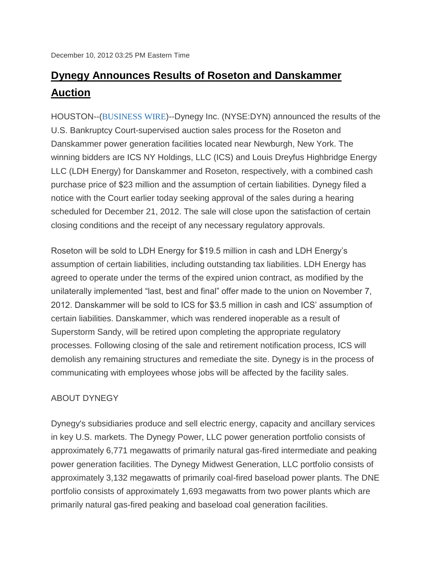## **Dynegy Announces Results of Roseton and Danskammer Auction**

HOUSTON--([BUSINESS WIRE](http://www.businesswire.com/))--Dynegy Inc. (NYSE:DYN) announced the results of the U.S. Bankruptcy Court-supervised auction sales process for the Roseton and Danskammer power generation facilities located near Newburgh, New York. The winning bidders are ICS NY Holdings, LLC (ICS) and Louis Dreyfus Highbridge Energy LLC (LDH Energy) for Danskammer and Roseton, respectively, with a combined cash purchase price of \$23 million and the assumption of certain liabilities. Dynegy filed a notice with the Court earlier today seeking approval of the sales during a hearing scheduled for December 21, 2012. The sale will close upon the satisfaction of certain closing conditions and the receipt of any necessary regulatory approvals.

Roseton will be sold to LDH Energy for \$19.5 million in cash and LDH Energy's assumption of certain liabilities, including outstanding tax liabilities. LDH Energy has agreed to operate under the terms of the expired union contract, as modified by the unilaterally implemented "last, best and final" offer made to the union on November 7, 2012. Danskammer will be sold to ICS for \$3.5 million in cash and ICS' assumption of certain liabilities. Danskammer, which was rendered inoperable as a result of Superstorm Sandy, will be retired upon completing the appropriate regulatory processes. Following closing of the sale and retirement notification process, ICS will demolish any remaining structures and remediate the site. Dynegy is in the process of communicating with employees whose jobs will be affected by the facility sales.

## ABOUT DYNEGY

Dynegy's subsidiaries produce and sell electric energy, capacity and ancillary services in key U.S. markets. The Dynegy Power, LLC power generation portfolio consists of approximately 6,771 megawatts of primarily natural gas-fired intermediate and peaking power generation facilities. The Dynegy Midwest Generation, LLC portfolio consists of approximately 3,132 megawatts of primarily coal-fired baseload power plants. The DNE portfolio consists of approximately 1,693 megawatts from two power plants which are primarily natural gas-fired peaking and baseload coal generation facilities.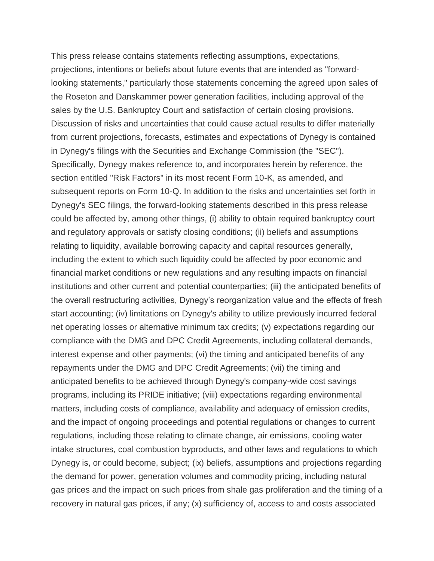This press release contains statements reflecting assumptions, expectations, projections, intentions or beliefs about future events that are intended as "forwardlooking statements," particularly those statements concerning the agreed upon sales of the Roseton and Danskammer power generation facilities, including approval of the sales by the U.S. Bankruptcy Court and satisfaction of certain closing provisions. Discussion of risks and uncertainties that could cause actual results to differ materially from current projections, forecasts, estimates and expectations of Dynegy is contained in Dynegy's filings with the Securities and Exchange Commission (the "SEC"). Specifically, Dynegy makes reference to, and incorporates herein by reference, the section entitled "Risk Factors" in its most recent Form 10-K, as amended, and subsequent reports on Form 10-Q. In addition to the risks and uncertainties set forth in Dynegy's SEC filings, the forward-looking statements described in this press release could be affected by, among other things, (i) ability to obtain required bankruptcy court and regulatory approvals or satisfy closing conditions; (ii) beliefs and assumptions relating to liquidity, available borrowing capacity and capital resources generally, including the extent to which such liquidity could be affected by poor economic and financial market conditions or new regulations and any resulting impacts on financial institutions and other current and potential counterparties; (iii) the anticipated benefits of the overall restructuring activities, Dynegy's reorganization value and the effects of fresh start accounting; (iv) limitations on Dynegy's ability to utilize previously incurred federal net operating losses or alternative minimum tax credits; (v) expectations regarding our compliance with the DMG and DPC Credit Agreements, including collateral demands, interest expense and other payments; (vi) the timing and anticipated benefits of any repayments under the DMG and DPC Credit Agreements; (vii) the timing and anticipated benefits to be achieved through Dynegy's company-wide cost savings programs, including its PRIDE initiative; (viii) expectations regarding environmental matters, including costs of compliance, availability and adequacy of emission credits, and the impact of ongoing proceedings and potential regulations or changes to current regulations, including those relating to climate change, air emissions, cooling water intake structures, coal combustion byproducts, and other laws and regulations to which Dynegy is, or could become, subject; (ix) beliefs, assumptions and projections regarding the demand for power, generation volumes and commodity pricing, including natural gas prices and the impact on such prices from shale gas proliferation and the timing of a recovery in natural gas prices, if any; (x) sufficiency of, access to and costs associated